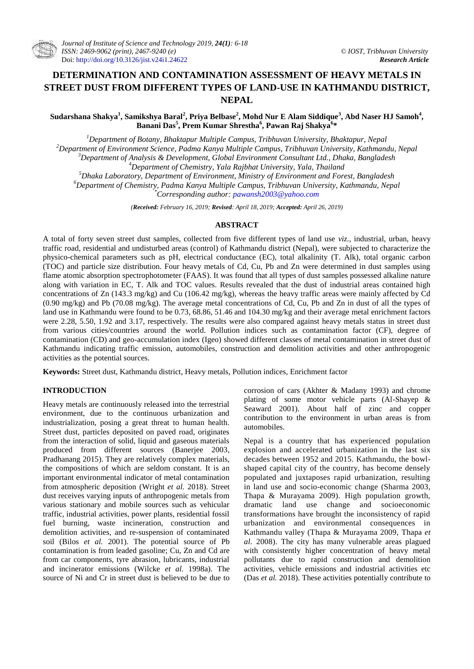# **DETERMINATION AND CONTAMINATION ASSESSMENT OF HEAVY METALS IN STREET DUST FROM DIFFERENT TYPES OF LAND-USE IN KATHMANDU DISTRICT, NEPAL**

**Sudarshana Shakya<sup>1</sup> , Samikshya Baral<sup>2</sup> , Priya Belbase<sup>2</sup> , Mohd Nur E Alam Siddique<sup>3</sup> , Abd Naser HJ Samoh<sup>4</sup> , Banani Das<sup>5</sup> , Prem Kumar Shrestha<sup>6</sup> , Pawan Raj Shakya<sup>6</sup> \***

*Department of Botany, Bhaktapur Multiple Campus, Tribhuvan University, Bhaktapur, Nepal Department of Environment Science, Padma Kanya Multiple Campus, Tribhuvan University, Kathmandu, Nepal Department of Analysis & Development, Global Environment Consultant Ltd., Dhaka, Bangladesh Department of Chemistry, Yala Rajbhat University, Yala, Thailand*

*<sup>5</sup>Dhaka Laboratory, Department of Environment, Ministry of Environment and Forest, Bangladesh*

*<sup>6</sup>Department of Chemistry, Padma Kanya Multiple Campus, Tribhuvan University, Kathmandu, Nepal*

*\*Corresponding author: [pawansh2003@yahoo.com](mailto:pawansh2003@yahoo.com)*

*(Received: February 16, 2019; Revised: April 18, 2019; Accepted: April 26, 2019)*

# **ABSTRACT**

A total of forty seven street dust samples, collected from five different types of land use *viz.*, industrial, urban, heavy traffic road, residential and undisturbed areas (control) of Kathmandu district (Nepal), were subjected to characterize the physico-chemical parameters such as pH, electrical conductance (EC), total alkalinity (T. Alk), total organic carbon (TOC) and particle size distribution. Four heavy metals of Cd, Cu, Pb and Zn were determined in dust samples using flame atomic absorption spectrophotometer (FAAS). It was found that all types of dust samples possessed alkaline nature along with variation in EC, T. Alk and TOC values. Results revealed that the dust of industrial areas contained high concentrations of Zn (143.3 mg/kg) and Cu (106.42 mg/kg), whereas the heavy traffic areas were mainly affected by Cd  $(0.90 \text{ mg/kg})$  and Pb (70.08 mg/kg). The average metal concentrations of Cd, Cu, Pb and Zn in dust of all the types of land use in Kathmandu were found to be 0.73, 68.86, 51.46 and 104.30 mg/kg and their average metal enrichment factors were 2.28, 5.50, 1.92 and 3.17, respectively. The results were also compared against heavy metals status in street dust from various cities/countries around the world. Pollution indices such as contamination factor (CF), degree of contamination (CD) and geo-accumulation index (Igeo) showed different classes of metal contamination in street dust of Kathmandu indicating traffic emission, automobiles, construction and demolition activities and other anthropogenic activities as the potential sources.

**Keywords:** Street dust, Kathmandu district, Heavy metals, Pollution indices, Enrichment factor

# **INTRODUCTION**

Heavy metals are continuously released into the terrestrial environment, due to the continuous urbanization and industrialization, posing a great threat to human health. Street dust, particles deposited on paved road, originates from the interaction of solid, liquid and gaseous materials produced from different sources (Banerjee 2003, Pradhanang 2015). They are relatively complex materials, the compositions of which are seldom constant. It is an important environmental indicator of metal contamination from atmospheric deposition (Wright *et al.* 2018). Street dust receives varying inputs of anthropogenic metals from various stationary and mobile sources such as vehicular traffic, industrial activities, power plants, residential fossil fuel burning, waste incineration, construction and demolition activities, and re-suspension of contaminated soil (Bilos *et al.* 2001). The potential source of Pb contamination is from leaded gasoline; Cu, Zn and Cd are from car components, tyre abrasion, lubricants, industrial and incinerator emissions (Wilcke *et al.* 1998a). The source of Ni and Cr in street dust is believed to be due to corrosion of cars (Akhter & Madany 1993) and chrome plating of some motor vehicle parts (Al-Shayep & Seaward 2001). About half of zinc and copper contribution to the environment in urban areas is from automobiles.

Nepal is a country that has experienced population explosion and accelerated urbanization in the last six decades between 1952 and 2015. Kathmandu, the bowlshaped capital city of the country, has become densely populated and juxtaposes rapid urbanization, resulting in land use and socio-economic change (Sharma 2003, Thapa & Murayama 2009). High population growth, dramatic land use change and socioeconomic transformations have brought the inconsistency of rapid urbanization and environmental consequences in Kathmandu valley (Thapa & Murayama 2009, Thapa *et al.* 2008). The city has many vulnerable areas plagued with consistently higher concentration of heavy metal pollutants due to rapid construction and demolition activities, vehicle emissions and industrial activities etc (Das *et al.* 2018). These activities potentially contribute to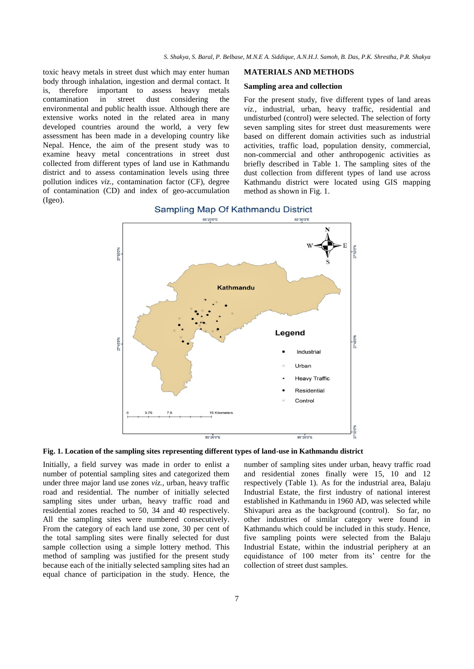toxic heavy metals in street dust which may enter human body through inhalation, ingestion and dermal contact. It is, therefore important to assess heavy metals<br>contamination in street dust considering the in street dust considering the environmental and public health issue. Although there are extensive works noted in the related area in many developed countries around the world, a very few assessment has been made in a developing country like Nepal. Hence, the aim of the present study was to examine heavy metal concentrations in street dust collected from different types of land use in Kathmandu district and to assess contamination levels using three pollution indices *viz.*, contamination factor (CF), degree of contamination (CD) and index of geo-accumulation (Igeo).

#### **MATERIALS AND METHODS**

#### **Sampling area and collection**

For the present study, five different types of land areas *viz.,* industrial, urban, heavy traffic, residential and undisturbed (control) were selected. The selection of forty seven sampling sites for street dust measurements were based on different domain activities such as industrial activities, traffic load, population density, commercial, non-commercial and other anthropogenic activities as briefly described in Table 1. The sampling sites of the dust collection from different types of land use across Kathmandu district were located using GIS mapping method as shown in Fig. 1.



Sampling Map Of Kathmandu District

**Fig. 1. Location of the sampling sites representing different types of land-use in Kathmandu district**

Initially, a field survey was made in order to enlist a number of potential sampling sites and categorized them under three major land use zones *viz.*, urban, heavy traffic road and residential. The number of initially selected sampling sites under urban, heavy traffic road and residential zones reached to 50, 34 and 40 respectively. All the sampling sites were numbered consecutively. From the category of each land use zone, 30 per cent of the total sampling sites were finally selected for dust sample collection using a simple lottery method. This method of sampling was justified for the present study because each of the initially selected sampling sites had an equal chance of participation in the study. Hence, the

number of sampling sites under urban, heavy traffic road and residential zones finally were 15, 10 and 12 respectively (Table 1). As for the industrial area, Balaju Industrial Estate, the first industry of national interest established in Kathmandu in 1960 AD, was selected while Shivapuri area as the background (control). So far, no other industries of similar category were found in Kathmandu which could be included in this study. Hence, five sampling points were selected from the Balaju Industrial Estate, within the industrial periphery at an equidistance of 100 meter from its' centre for the collection of street dust samples.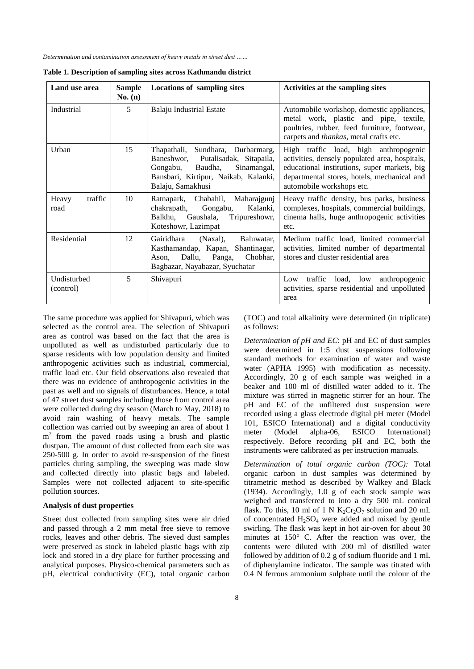| Land use area            | <b>Sample</b><br>No. (n) | <b>Locations of sampling sites</b>                                                                                                                                               | Activities at the sampling sites                                                                                                                                                                                    |
|--------------------------|--------------------------|----------------------------------------------------------------------------------------------------------------------------------------------------------------------------------|---------------------------------------------------------------------------------------------------------------------------------------------------------------------------------------------------------------------|
| Industrial               | 5                        | <b>Balaju Industrial Estate</b>                                                                                                                                                  | Automobile workshop, domestic appliances,<br>metal work, plastic and pipe, textile,<br>poultries, rubber, feed furniture, footwear,<br>carpets and <i>thankas</i> , metal crafts etc.                               |
| Urban                    | 15                       | Sundhara, Durbarmarg,<br>Thapathali,<br>Putalisadak, Sitapaila,<br>Baneshwor,<br>Baudha,<br>Sinamangal,<br>Gongabu,<br>Bansbari, Kirtipur, Naikab, Kalanki,<br>Balaju, Samakhusi | High traffic load, high anthropogenic<br>activities, densely populated area, hospitals,<br>educational institutions, super markets, big<br>departmental stores, hotels, mechanical and<br>automobile workshops etc. |
| traffic<br>Heavy<br>road | 10                       | Ratnapark, Chabahil, Maharajgunj<br>chakrapath,<br>Gongabu,<br>Kalanki.<br>Balkhu,<br>Gaushala,<br>Tripureshowr,<br>Koteshowr, Lazimpat                                          | Heavy traffic density, bus parks, business<br>complexes, hospitals, commercial buildings,<br>cinema halls, huge anthropogenic activities<br>etc.                                                                    |
| Residential              | 12                       | Gairidhara<br>(Naxal),<br>Baluwatar,<br>Kasthamandap, Kapan, Shantinagar,<br>Dallu,<br>Panga,<br>Chobhar,<br>Ason,<br>Bagbazar, Nayabazar, Syuchatar                             | Medium traffic load, limited commercial<br>activities, limited number of departmental<br>stores and cluster residential area                                                                                        |
| Undisturbed<br>(control) | 5                        | Shivapuri                                                                                                                                                                        | traffic<br>load, low<br>anthropogenic<br>Low<br>activities, sparse residential and unpolluted<br>area                                                                                                               |

| Table 1. Description of sampling sites across Kathmandu district |  |  |  |  |
|------------------------------------------------------------------|--|--|--|--|
|------------------------------------------------------------------|--|--|--|--|

The same procedure was applied for Shivapuri, which was selected as the control area. The selection of Shivapuri area as control was based on the fact that the area is unpolluted as well as undisturbed particularly due to sparse residents with low population density and limited anthropogenic activities such as industrial, commercial, traffic load etc. Our field observations also revealed that there was no evidence of anthropogenic activities in the past as well and no signals of disturbances. Hence, a total of 47 street dust samples including those from control area were collected during dry season (March to May, 2018) to avoid rain washing of heavy metals. The sample collection was carried out by sweeping an area of about 1 m<sup>2</sup> from the paved roads using a brush and plastic dustpan. The amount of dust collected from each site was 250-500 g. In order to avoid re-suspension of the finest particles during sampling, the sweeping was made slow and collected directly into plastic bags and labeled. Samples were not collected adjacent to site-specific pollution sources.

#### **Analysis of dust properties**

Street dust collected from sampling sites were air dried and passed through a 2 mm metal free sieve to remove rocks, leaves and other debris. The sieved dust samples were preserved as stock in labeled plastic bags with zip lock and stored in a dry place for further processing and analytical purposes. Physico-chemical parameters such as pH, electrical conductivity (EC), total organic carbon (TOC) and total alkalinity were determined (in triplicate) as follows:

*Determination of pH and EC*: pH and EC of dust samples were determined in 1:5 dust suspensions following standard methods for examination of water and waste water (APHA 1995) with modification as necessity. Accordingly, 20 g of each sample was weighed in a beaker and 100 ml of distilled water added to it. The mixture was stirred in magnetic stirrer for an hour. The pH and EC of the unfiltered dust suspension were recorded using a glass electrode digital pH meter (Model 101, ESICO International) and a digital conductivity meter (Model alpha-06, ESICO International) respectively. Before recording pH and EC, both the instruments were calibrated as per instruction manuals.

*Determination of total organic carbon (TOC):* Total organic carbon in dust samples was determined by titrametric method as described by Walkey and Black (1934). Accordingly, 1.0 g of each stock sample was weighed and transferred to into a dry 500 mL conical flask. To this, 10 ml of 1 N  $K_2Cr_2O_7$  solution and 20 mL of concentrated  $H_2SO_4$  were added and mixed by gentle swirling. The flask was kept in hot air-oven for about 30 minutes at 150° C. After the reaction was over, the contents were diluted with 200 ml of distilled water followed by addition of 0.2 g of sodium fluoride and 1 mL of diphenylamine indicator. The sample was titrated with 0.4 N ferrous ammonium sulphate until the colour of the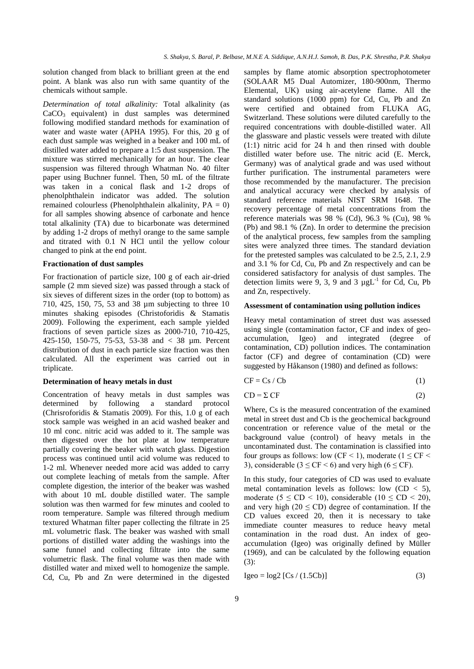solution changed from black to brilliant green at the end point. A blank was also run with same quantity of the chemicals without sample.

*Determination of total alkalinity:* Total alkalinity (as  $CaCO<sub>3</sub>$  equivalent) in dust samples was determined following modified standard methods for examination of water and waste water (APHA 1995). For this, 20 g of each dust sample was weighed in a beaker and 100 mL of distilled water added to prepare a 1:5 dust suspension. The mixture was stirred mechanically for an hour. The clear suspension was filtered through Whatman No. 40 filter paper using Buchner funnel. Then, 50 mL of the filtrate was taken in a conical flask and 1-2 drops of phenolphthalein indicator was added. The solution remained colourless (Phenolphthalein alkalinity,  $PA = 0$ ) for all samples showing absence of carbonate and hence total alkalinity (TA) due to bicarbonate was determined by adding 1-2 drops of methyl orange to the same sample and titrated with 0.1 N HCl until the yellow colour changed to pink at the end point.

# **Fractionation of dust samples**

For fractionation of particle size, 100 g of each air-dried sample (2 mm sieved size) was passed through a stack of six sieves of different sizes in the order (top to bottom) as 710, 425, 150, 75, 53 and 38 µm subjecting to three 10 minutes shaking episodes (Christoforidis & Stamatis 2009). Following the experiment, each sample yielded fractions of seven particle sizes as 2000-710, 710-425, 425-150, 150-75, 75-53, 53-38 and < 38 µm. Percent distribution of dust in each particle size fraction was then calculated. All the experiment was carried out in triplicate.

#### **Determination of heavy metals in dust**

Concentration of heavy metals in dust samples was determined by following a standard protocol (Chrisroforidis & Stamatis 2009). For this, 1.0 g of each stock sample was weighed in an acid washed beaker and 10 ml conc. nitric acid was added to it. The sample was then digested over the hot plate at low temperature partially covering the beaker with watch glass. Digestion process was continued until acid volume was reduced to 1-2 ml. Whenever needed more acid was added to carry out complete leaching of metals from the sample. After complete digestion, the interior of the beaker was washed with about 10 mL double distilled water. The sample solution was then warmed for few minutes and cooled to room temperature. Sample was filtered through medium textured Whatman filter paper collecting the filtrate in 25 mL volumetric flask. The beaker was washed with small portions of distilled water adding the washings into the same funnel and collecting filtrate into the same volumetric flask. The final volume was then made with distilled water and mixed well to homogenize the sample. Cd, Cu, Pb and Zn were determined in the digested samples by flame atomic absorption spectrophotometer (SOLAAR M5 Dual Automizer, 180-900nm, Thermo Elemental, UK) using air-acetylene flame. All the standard solutions (1000 ppm) for Cd, Cu, Pb and Zn were certified and obtained from FLUKA AG, Switzerland. These solutions were diluted carefully to the required concentrations with double-distilled water. All the glassware and plastic vessels were treated with dilute (1:1) nitric acid for 24 h and then rinsed with double distilled water before use. The nitric acid (E. Merck, Germany) was of analytical grade and was used without further purification. The instrumental parameters were those recommended by the manufacturer. The precision and analytical accuracy were checked by analysis of standard reference materials NIST SRM 1648. The recovery percentage of metal concentrations from the reference materials was 98 % (Cd), 96.3 % (Cu), 98 % (Pb) and 98.1 % (Zn). In order to determine the precision of the analytical process, few samples from the sampling sites were analyzed three times. The standard deviation for the pretested samples was calculated to be 2.5, 2.1, 2.9 and 3.1 % for Cd, Cu, Pb and Zn respectively and can be considered satisfactory for analysis of dust samples. The detection limits were 9, 3, 9 and 3  $\mu gL^{-1}$  for Cd, Cu, Pb and Zn, respectively.

#### **Assessment of contamination using pollution indices**

Heavy metal contamination of street dust was assessed using single (contamination factor, CF and index of geoaccumulation, Igeo) and integrated (degree of contamination, CD) pollution indices. The contamination factor (CF) and degree of contamination (CD) were suggested by Håkanson (1980) and defined as follows:

$$
CF = Cs / Cb \tag{1}
$$

$$
CD = \Sigma CF \tag{2}
$$

Where, Cs is the measured concentration of the examined metal in street dust and Cb is the geochemical background concentration or reference value of the metal or the background value (control) of heavy metals in the uncontaminated dust. The contamination is classified into four groups as follows: low (CF < 1), moderate ( $1 \leq$  CF < 3), considerable ( $3 \leq CF \leq 6$ ) and very high ( $6 \leq CF$ ).

In this study, four categories of CD was used to evaluate metal contamination levels as follows: low  $(CD < 5)$ , moderate ( $5 \leq CD \leq 10$ ), considerable ( $10 \leq CD \leq 20$ ), and very high ( $20 \leq CD$ ) degree of contamination. If the CD values exceed 20, then it is necessary to take immediate counter measures to reduce heavy metal contamination in the road dust. An index of geoaccumulation (Igeo) was originally defined by Müller (1969), and can be calculated by the following equation (3):

$$
Igeo = log2 [Cs / (1.5Cb)] \tag{3}
$$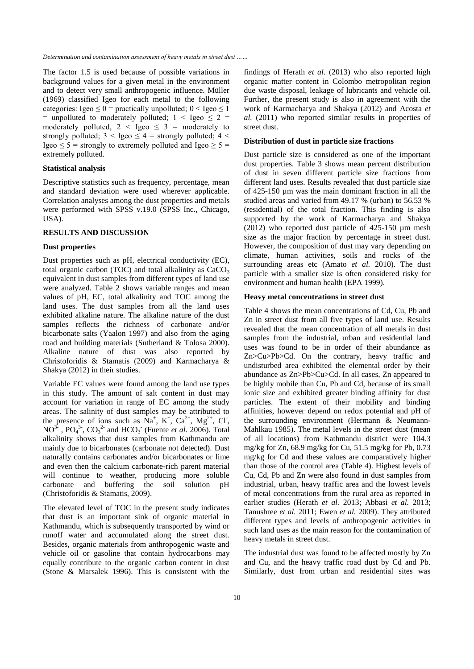The factor 1.5 is used because of possible variations in background values for a given metal in the environment and to detect very small anthropogenic influence. Müller (1969) classified Igeo for each metal to the following categories: Igeo  $\leq 0$  = practically unpolluted;  $0 <$  Igeo  $\leq 1$ = unpolluted to moderately polluted;  $1 <$  Igeo  $\leq 2$  = moderately polluted,  $2 \leq \text{Igeo} \leq 3 = \text{moderately to}$ strongly polluted;  $3 <$  Igeo  $<$  4 = strongly polluted; 4  $<$ Igeo  $\leq$  5 = strongly to extremely polluted and Igeo  $\geq$  5 = extremely polluted.

# **Statistical analysis**

Descriptive statistics such as frequency, percentage, mean and standard deviation were used wherever applicable. Correlation analyses among the dust properties and metals were performed with SPSS v.19.0 (SPSS Inc., Chicago, USA).

# **RESULTS AND DISCUSSION**

### **Dust properties**

Dust properties such as pH, electrical conductivity (EC), total organic carbon (TOC) and total alkalinity as  $CaCO<sub>3</sub>$ equivalent in dust samples from different types of land use were analyzed. Table 2 shows variable ranges and mean values of pH, EC, total alkalinity and TOC among the land uses. The dust samples from all the land uses exhibited alkaline nature. The alkaline nature of the dust samples reflects the richness of carbonate and/or bicarbonate salts (Yaalon 1997) and also from the aging road and building materials (Sutherland & Tolosa 2000). Alkaline nature of dust was also reported by Christoforidis & Stamatis (2009) and Karmacharya & Shakya (2012) in their studies.

Variable EC values were found among the land use types in this study. The amount of salt content in dust may account for variation in range of EC among the study areas. The salinity of dust samples may be attributed to the presence of ions such as  $\tilde{N}a^{+}$ ,  $K^{+}$ ,  $Ca^{2+}$ ,  $Mg^{2+}$ , Cl<sup>-</sup>,  $NO<sup>3-</sup>$ ,  $PO<sub>4</sub><sup>3-</sup>$ ,  $CO<sub>3</sub><sup>2</sup>$  and  $HCO<sub>3</sub><sup>-</sup>$  (Fuente *et al.* 2006). Total alkalinity shows that dust samples from Kathmandu are mainly due to bicarbonates (carbonate not detected). Dust naturally contains carbonates and/or bicarbonates or lime and even then the calcium carbonate-rich parent material will continue to weather, producing more soluble carbonate and buffering the soil solution pH (Christoforidis & Stamatis, 2009).

The elevated level of TOC in the present study indicates that dust is an important sink of organic material in Kathmandu, which is subsequently transported by wind or runoff water and accumulated along the street dust. Besides, organic materials from anthropogenic waste and vehicle oil or gasoline that contain hydrocarbons may equally contribute to the organic carbon content in dust (Stone & Marsalek 1996). This is consistent with the

findings of Herath *et al.* (2013) who also reported high organic matter content in Colombo metropolitan region due waste disposal, leakage of lubricants and vehicle oil. Further, the present study is also in agreement with the work of Karmacharya and Shakya (2012) and Acosta *et al.* (2011) who reported similar results in properties of street dust.

### **Distribution of dust in particle size fractions**

Dust particle size is considered as one of the important dust properties. Table 3 shows mean percent distribution of dust in seven different particle size fractions from different land uses. Results revealed that dust particle size of 425-150 µm was the main dominant fraction in all the studied areas and varied from 49.17 % (urban) to 56.53 % (residential) of the total fraction. This finding is also supported by the work of Karmacharya and Shakya (2012) who reported dust particle of 425-150 µm mesh size as the major fraction by percentage in street dust. However, the composition of dust may vary depending on climate, human activities, soils and rocks of the surrounding areas etc (Amato *et al.* 2010). The dust particle with a smaller size is often considered risky for environment and human health (EPA 1999).

#### **Heavy metal concentrations in street dust**

Table 4 shows the mean concentrations of Cd, Cu, Pb and Zn in street dust from all five types of land use. Results revealed that the mean concentration of all metals in dust samples from the industrial, urban and residential land uses was found to be in order of their abundance as Zn>Cu>Pb>Cd. On the contrary, heavy traffic and undisturbed area exhibited the elemental order by their abundance as Zn>Pb>Cu>Cd. In all cases, Zn appeared to be highly mobile than Cu, Pb and Cd, because of its small ionic size and exhibited greater binding affinity for dust particles. The extent of their mobility and binding affinities, however depend on redox potential and pH of the surrounding environment (Hermann & Neumann-Mahlkau 1985). The metal levels in the street dust (mean of all locations) from Kathmandu district were 104.3 mg/kg for Zn, 68.9 mg/kg for Cu, 51.5 mg/kg for Pb, 0.73 mg/kg for Cd and these values are comparatively higher than those of the control area (Table 4). Highest levels of Cu, Cd, Pb and Zn were also found in dust samples from industrial, urban, heavy traffic area and the lowest levels of metal concentrations from the rural area as reported in earlier studies (Herath *et al.* 2013; Abbasi *et al.* 2013; Tanushree *et al.* 2011; Ewen *et al.* 2009). They attributed different types and levels of anthropogenic activities in such land uses as the main reason for the contamination of heavy metals in street dust.

The industrial dust was found to be affected mostly by Zn and Cu, and the heavy traffic road dust by Cd and Pb. Similarly, dust from urban and residential sites was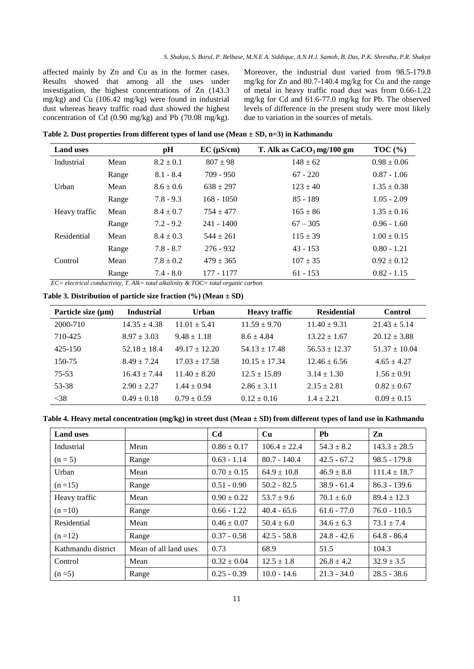affected mainly by Zn and Cu as in the former cases. Results showed that among all the uses under investigation, the highest concentrations of Zn (143.3 mg/kg) and Cu (106.42 mg/kg) were found in industrial dust whereas heavy traffic road dust showed the highest concentration of Cd (0.90 mg/kg) and Pb (70.08 mg/kg).

Moreover, the industrial dust varied from 98.5-179.8 mg/kg for Zn and 80.7-140.4 mg/kg for Cu and the range of metal in heavy traffic road dust was from 0.66-1.22 mg/kg for Cd and 61.6-77.0 mg/kg for Pb. The observed levels of difference in the present study were most likely due to variation in the sources of metals.

**Table 2. Dust properties from different types of land use (Mean ± SD, n=3) in Kathmandu**

| <b>Land uses</b>                                       |       | pН            | $EC$ ( $\mu$ S/cm) | T. Alk as $CaCO3$ mg/100 gm | TOC $(\% )$     |
|--------------------------------------------------------|-------|---------------|--------------------|-----------------------------|-----------------|
| Industrial                                             | Mean  | $8.2 \pm 0.1$ | $807 \pm 98$       | $148 \pm 62$                | $0.98 \pm 0.06$ |
|                                                        | Range | $8.1 - 8.4$   | $709 - 950$        | $67 - 220$                  | $0.87 - 1.06$   |
| Urban                                                  | Mean  | $8.6 \pm 0.6$ | $638 \pm 297$      | $123 \pm 40$                | $1.35 \pm 0.38$ |
|                                                        | Range | $7.8 - 9.3$   | $168 - 1050$       | $85 - 189$                  | $1.05 - 2.09$   |
| Heavy traffic                                          | Mean  | $8.4 \pm 0.7$ | $754 + 477$        | $165 \pm 86$                | $1.35 \pm 0.16$ |
|                                                        | Range | $7.2 - 9.2$   | $241 - 1400$       | $67 - 305$                  | $0.96 - 1.60$   |
| Residential                                            | Mean  | $8.4 \pm 0.3$ | $544 \pm 261$      | $115 \pm 39$                | $1.00 \pm 0.15$ |
|                                                        | Range | $7.8 - 8.7$   | $276 - 932$        | $43 - 153$                  | $0.80 - 1.21$   |
| Control                                                | Mean  | $7.8 \pm 0.2$ | $479 \pm 365$      | $107 \pm 35$                | $0.92 \pm 0.12$ |
| $\mathbf{r}$ $\alpha$ $\beta$ $\beta$ $\beta$ $\gamma$ | Range | $7.4 - 8.0$   | 177 - 1177         | $61 - 153$                  | $0.82 - 1.15$   |

 *EC= electrical conductivity, T. Alk= total alkalinity & TOC= total organic carbon*

**Table 3. Distribution of particle size fraction (%) (Mean ± SD)**

| Particle size $(\mu m)$ | <b>Industrial</b> | <b>Urban</b>      | <b>Heavy traffic</b> | <b>Residential</b> | <b>Control</b>    |
|-------------------------|-------------------|-------------------|----------------------|--------------------|-------------------|
| 2000-710                | $14.35 \pm 4.38$  | $11.01 \pm 5.41$  | $11.59 \pm 9.70$     | $11.40 \pm 9.31$   | $21.43 \pm 5.14$  |
| 710-425                 | $8.97 \pm 3.03$   | $9.48 \pm 1.18$   | $8.6 \pm 4.84$       | $13.22 \pm 1.67$   | $20.12 \pm 3.88$  |
| $425 - 150$             | $52.18 \pm 18.4$  | $49.17 \pm 12.20$ | $54.13 \pm 17.48$    | $56.53 \pm 12.37$  | $51.37 \pm 10.04$ |
| 150-75                  | $8.49 \pm 7.24$   | $17.03 \pm 17.58$ | $10.15 \pm 17.34$    | $12.46 \pm 6.56$   | $4.65 \pm 4.27$   |
| 75-53                   | $16.43 \pm 7.44$  | $11.40 \pm 8.20$  | $12.5 \pm 15.89$     | $3.14 \pm 1.30$    | $1.56 \pm 0.91$   |
| 53-38                   | $2.90 \pm 2.27$   | $1.44 \pm 0.94$   | $2.86 \pm 3.11$      | $2.15 \pm 2.81$    | $0.82 \pm 0.67$   |
| $<$ 38                  | $0.49 \pm 0.18$   | $0.79 \pm 0.59$   | $0.12 \pm 0.16$      | $1.4 \pm 2.21$     | $0.09 \pm 0.15$   |

**Table 4. Heavy metal concentration (mg/kg) in street dust (Mean ± SD) from different types of land use in Kathmandu**

| <b>Land uses</b>   |                       | Cd              | $\mathbf{Cu}$    | Pb             | Zn               |
|--------------------|-----------------------|-----------------|------------------|----------------|------------------|
| Industrial         | Mean                  | $0.86 \pm 0.17$ | $106.4 \pm 22.4$ | $54.3 \pm 8.2$ | $143.3 \pm 28.5$ |
| $(n=5)$            | Range                 | $0.63 - 1.14$   | $80.7 - 140.4$   | $42.5 - 67.2$  | $98.5 - 179.8$   |
| Urban              | Mean                  | $0.70 \pm 0.15$ | $64.9 \pm 10.8$  | $46.9 \pm 8.8$ | $111.4 \pm 18.7$ |
| $(n=15)$           | Range                 | $0.51 - 0.90$   | $50.2 - 82.5$    | $38.9 - 61.4$  | $86.3 - 139.6$   |
| Heavy traffic      | Mean                  | $0.90 \pm 0.22$ | $53.7 \pm 9.6$   | $70.1 \pm 6.0$ | $89.4 \pm 12.3$  |
| $(n=10)$           | Range                 | $0.66 - 1.22$   | $40.4 - 65.6$    | $61.6 - 77.0$  | $76.0 - 110.5$   |
| Residential        | Mean                  | $0.46 \pm 0.07$ | $50.4 \pm 6.0$   | $34.6 \pm 6.3$ | $73.1 \pm 7.4$   |
| $(n=12)$           | Range                 | $0.37 - 0.58$   | $42.5 - 58.8$    | $24.8 - 42.6$  | $64.8 - 86.4$    |
| Kathmandu district | Mean of all land uses | 0.73            | 68.9             | 51.5           | 104.3            |
| Control            | Mean                  | $0.32 \pm 0.04$ | $12.5 \pm 1.8$   | $26.8 \pm 4.2$ | $32.9 \pm 3.5$   |
| $(n=5)$            | Range                 | $0.25 - 0.39$   | $10.0 - 14.6$    | $21.3 - 34.0$  | $28.5 - 38.6$    |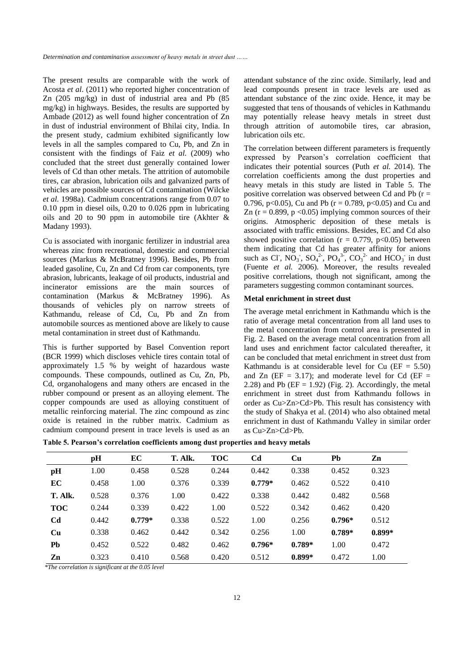The present results are comparable with the work of Acosta *et al*. (2011) who reported higher concentration of Zn (205 mg/kg) in dust of industrial area and Pb (85 mg/kg) in highways. Besides, the results are supported by Ambade (2012) as well found higher concentration of Zn in dust of industrial environment of Bhilai city, India. In the present study, cadmium exhibited significantly low levels in all the samples compared to Cu, Pb, and Zn in consistent with the findings of Faiz *et al.* (2009) who concluded that the street dust generally contained lower levels of Cd than other metals. The attrition of automobile tires, car abrasion, lubrication oils and galvanized parts of vehicles are possible sources of Cd contamination (Wilcke *et al.* 1998a). Cadmium concentrations range from 0.07 to 0.10 ppm in diesel oils, 0.20 to 0.026 ppm in lubricating oils and 20 to 90 ppm in automobile tire (Akhter & Madany 1993).

Cu is associated with inorganic fertilizer in industrial area whereas zinc from recreational, domestic and commercial sources (Markus & McBratney 1996). Besides, Pb from leaded gasoline, Cu, Zn and Cd from car components, tyre abrasion, lubricants, leakage of oil products, industrial and incinerator emissions are the main sources of contamination (Markus & McBratney 1996). As thousands of vehicles ply on narrow streets of Kathmandu, release of Cd, Cu, Pb and Zn from automobile sources as mentioned above are likely to cause metal contamination in street dust of Kathmandu.

This is further supported by Basel Convention report (BCR 1999) which discloses vehicle tires contain total of approximately 1.5 % by weight of hazardous waste compounds. These compounds, outlined as Cu, Zn, Pb, Cd, organohalogens and many others are encased in the rubber compound or present as an alloying element. The copper compounds are used as alloying constituent of metallic reinforcing material. The zinc compound as zinc oxide is retained in the rubber matrix. Cadmium as cadmium compound present in trace levels is used as an

attendant substance of the zinc oxide. Similarly, lead and lead compounds present in trace levels are used as attendant substance of the zinc oxide. Hence, it may be suggested that tens of thousands of vehicles in Kathmandu may potentially release heavy metals in street dust through attrition of automobile tires, car abrasion, lubrication oils etc.

The correlation between different parameters is frequently expressed by Pearson's correlation coefficient that indicates their potential sources (Puth *et al.* 2014). The correlation coefficients among the dust properties and heavy metals in this study are listed in Table 5. The positive correlation was observed between Cd and Pb  $(r =$ 0.796, p<0.05), Cu and Pb ( $r = 0.789$ , p<0.05) and Cu and Zn ( $r = 0.899$ ,  $p \le 0.05$ ) implying common sources of their origins. Atmospheric deposition of these metals is associated with traffic emissions. Besides, EC and Cd also showed positive correlation ( $r = 0.779$ ,  $p < 0.05$ ) between them indicating that Cd has greater affinity for anions such as Cl,  $NO_3$ ,  $SO_4^2$ ,  $PO_4^3$ ,  $CO_3^2$  and  $HCO_3$  in dust (Fuente *et al.* 2006). Moreover, the results revealed positive correlations, though not significant, among the parameters suggesting common contaminant sources.

# **Metal enrichment in street dust**

The average metal enrichment in Kathmandu which is the ratio of average metal concentration from all land uses to the metal concentration from control area is presented in Fig. 2. Based on the average metal concentration from all land uses and enrichment factor calculated thereafter, it can be concluded that metal enrichment in street dust from Kathmandu is at considerable level for Cu  $(EF = 5.50)$ and Zn ( $EF = 3.17$ ); and moderate level for Cd ( $EF =$ 2.28) and Pb  $(EF = 1.92)$  (Fig. 2). Accordingly, the metal enrichment in street dust from Kathmandu follows in order as Cu>Zn>Cd>Pb. This result has consistency with the study of Shakya et al. (2014) who also obtained metal enrichment in dust of Kathmandu Valley in similar order as Cu>Zn>Cd>Pb.

|                |       | EC       | T. Alk. | <b>TOC</b> | C <sub>d</sub> | Cu       | Pb       | Zn       |
|----------------|-------|----------|---------|------------|----------------|----------|----------|----------|
|                | pH    |          |         |            |                |          |          |          |
| pH             | 1.00  | 0.458    | 0.528   | 0.244      | 0.442          | 0.338    | 0.452    | 0.323    |
| EC             | 0.458 | 1.00     | 0.376   | 0.339      | $0.779*$       | 0.462    | 0.522    | 0.410    |
| T. Alk.        | 0.528 | 0.376    | 1.00    | 0.422      | 0.338          | 0.442    | 0.482    | 0.568    |
| <b>TOC</b>     | 0.244 | 0.339    | 0.422   | 1.00       | 0.522          | 0.342    | 0.462    | 0.420    |
| C <sub>d</sub> | 0.442 | $0.779*$ | 0.338   | 0.522      | 1.00           | 0.256    | $0.796*$ | 0.512    |
| <b>Cu</b>      | 0.338 | 0.462    | 0.442   | 0.342      | 0.256          | 1.00     | $0.789*$ | $0.899*$ |
| Pb             | 0.452 | 0.522    | 0.482   | 0.462      | $0.796*$       | $0.789*$ | 1.00     | 0.472    |
| Zn             | 0.323 | 0.410    | 0.568   | 0.420      | 0.512          | $0.899*$ | 0.472    | 1.00     |

*\*The correlation is significant at the 0.05 level*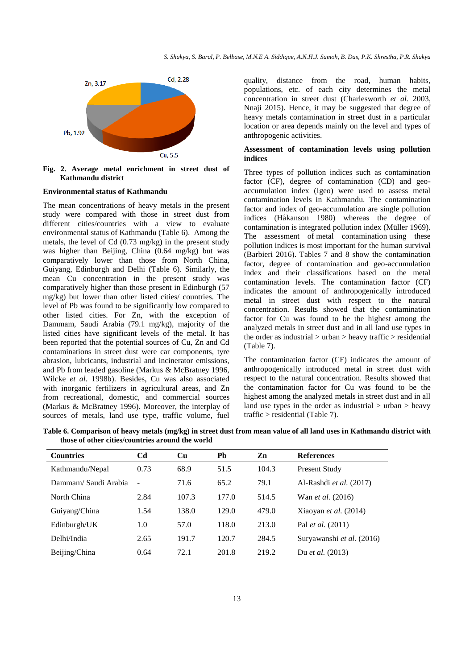

**Fig. 2. Average metal enrichment in street dust of Kathmandu district**

### **Environmental status of Kathmandu**

The mean concentrations of heavy metals in the present study were compared with those in street dust from different cities/countries with a view to evaluate environmental status of Kathmandu (Table 6). Among the metals, the level of Cd (0.73 mg/kg) in the present study was higher than Beijing, China (0.64 mg/kg) but was comparatively lower than those from North China, Guiyang, Edinburgh and Delhi (Table 6). Similarly, the mean Cu concentration in the present study was comparatively higher than those present in Edinburgh (57 mg/kg) but lower than other listed cities/ countries. The level of Pb was found to be significantly low compared to other listed cities. For Zn, with the exception of Dammam, Saudi Arabia (79.1 mg/kg), majority of the listed cities have significant levels of the metal. It has been reported that the potential sources of Cu, Zn and Cd contaminations in street dust were car components, tyre abrasion, lubricants, industrial and incinerator emissions, and Pb from leaded gasoline (Markus & McBratney 1996, Wilcke *et al.* 1998b). Besides, Cu was also associated with inorganic fertilizers in agricultural areas, and Zn from recreational, domestic, and commercial sources (Markus & McBratney 1996). Moreover, the interplay of sources of metals, land use type, traffic volume, fuel quality, distance from the road, human habits, populations, etc. of each city determines the metal concentration in street dust (Charlesworth *et al.* 2003, Nnaji 2015). Hence, it may be suggested that degree of heavy metals contamination in street dust in a particular location or area depends mainly on the level and types of anthropogenic activities.

# **Assessment of contamination levels using pollution indices**

Three types of pollution indices such as contamination factor (CF), degree of contamination (CD) and geoaccumulation index (Igeo) were used to assess metal contamination levels in Kathmandu. The contamination factor and index of geo-accumulation are single pollution indices (Håkanson 1980) whereas the degree of contamination is integrated pollution index (Müller 1969). The assessment of metal contamination using these pollution indices is most important for the human survival (Barbieri 2016). Tables 7 and 8 show the contamination factor, degree of contamination and geo-accumulation index and their classifications based on the metal contamination levels. The contamination factor (CF) indicates the amount of anthropogenically introduced metal in street dust with respect to the natural concentration. Results showed that the contamination factor for Cu was found to be the highest among the analyzed metals in street dust and in all land use types in the order as industrial  $>$  urban  $>$  heavy traffic  $>$  residential (Table 7).

The contamination factor (CF) indicates the amount of anthropogenically introduced metal in street dust with respect to the natural concentration. Results showed that the contamination factor for Cu was found to be the highest among the analyzed metals in street dust and in all land use types in the order as industrial  $>$  urban  $>$  heavy traffic > residential (Table 7).

**Table 6. Comparison of heavy metals (mg/kg) in street dust from mean value of all land uses in Kathmandu district with those of other cities/countries around the world**

| <b>Countries</b>     | Cd             | $\mathbf{Cu}$ | Pb    | Zn                              | <b>References</b>         |
|----------------------|----------------|---------------|-------|---------------------------------|---------------------------|
| Kathmandu/Nepal      | 0.73           | 68.9          | 51.5  | 104.3                           | Present Study             |
| Dammam/ Saudi Arabia | $\blacksquare$ | 71.6          | 65.2  | 79.1<br>Al-Rashdi et al. (2017) |                           |
| North China          | 2.84           | 107.3         | 177.0 | 514.5                           | Wan <i>et al.</i> (2016)  |
| Guiyang/China        | 1.54           | 138.0         | 129.0 | 479.0                           | Xiaoyan et al. (2014)     |
| Edinburgh/UK         | 1.0            | 57.0          | 118.0 | 213.0                           | Pal <i>et al.</i> (2011)  |
| Delhi/India          | 2.65           | 191.7         | 120.7 | 284.5                           | Suryawanshi et al. (2016) |
| Beijing/China        | 0.64           | 72.1          | 201.8 | 219.2                           | Du <i>et al.</i> (2013)   |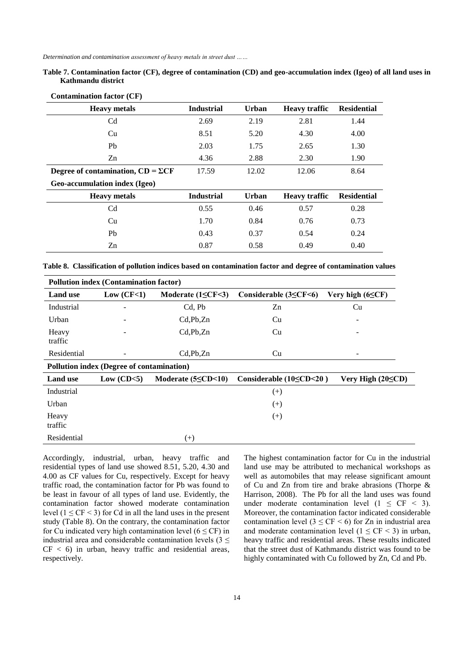**Table 7. Contamination factor (CF), degree of contamination (CD) and geo-accumulation index (Igeo) of all land uses in Kathmandu district**

| <b>Contamination factor (CF)</b>          |                   |              |                      |                    |  |  |
|-------------------------------------------|-------------------|--------------|----------------------|--------------------|--|--|
| <b>Heavy</b> metals                       | <b>Industrial</b> | <b>Urban</b> | <b>Heavy traffic</b> | <b>Residential</b> |  |  |
| C <sub>d</sub>                            | 2.69              | 2.19         | 2.81                 | 1.44               |  |  |
| Cu                                        | 8.51              | 5.20         | 4.30                 | 4.00               |  |  |
| Pb                                        | 2.03              | 1.75         | 2.65                 | 1.30               |  |  |
| Zn                                        | 4.36              | 2.88         | 2.30                 | 1.90               |  |  |
| Degree of contamination, $CD = \Sigma CF$ | 17.59             | 12.02        | 12.06                | 8.64               |  |  |
| Geo-accumulation index (Igeo)             |                   |              |                      |                    |  |  |
| <b>Heavy</b> metals                       | <b>Industrial</b> | <b>Urban</b> | <b>Heavy traffic</b> | <b>Residential</b> |  |  |
| C <sub>d</sub>                            | 0.55              | 0.46         | 0.57                 | 0.28               |  |  |
| Cu                                        | 1.70              | 0.84         | 0.76                 | 0.73               |  |  |
| P <sub>b</sub>                            | 0.43              | 0.37         | 0.54                 | 0.24               |  |  |
| Zn                                        | 0.87              | 0.58         | 0.49                 | 0.40               |  |  |

**Table 8. Classification of pollution indices based on contamination factor and degree of contamination values**

| <b>Pollution index (Contamination factor)</b> |                                           |                               |                                   |                         |  |  |
|-----------------------------------------------|-------------------------------------------|-------------------------------|-----------------------------------|-------------------------|--|--|
| <b>Land</b> use                               | Low (CF<1)                                | Moderate $(1 \leq CF \leq 3)$ | Considerable $(3 \leq CF \leq 6)$ | Very high $(6 \leq CF)$ |  |  |
| Industrial                                    |                                           | Cd, Pb                        | Zn                                | Cu                      |  |  |
| Urban                                         |                                           | $Cd$ , $Pb$ , $Zn$            | Cu                                |                         |  |  |
| Heavy<br>traffic                              |                                           | $Cd$ , $Pb$ , $Zn$            | Cu                                |                         |  |  |
| Residential                                   | -                                         | Cd, Pb, Zn                    | Cu                                |                         |  |  |
|                                               | Pollution index (Degree of contamination) |                               |                                   |                         |  |  |
| <b>Land</b> use                               | Low $(CD<5)$                              | Moderate $(5 \le CD \le 10)$  | Considerable $(10 \le CD \le 20)$ | Very High $(20 \le CD)$ |  |  |
| Industrial                                    |                                           |                               | $^{(+)}$                          |                         |  |  |
| Urban                                         |                                           |                               | $^{(+)}$                          |                         |  |  |
| Heavy<br>traffic                              |                                           |                               | $^{(+)}$                          |                         |  |  |
| Residential                                   |                                           | $^{(+)}$                      |                                   |                         |  |  |

Accordingly, industrial, urban, heavy traffic and residential types of land use showed 8.51, 5.20, 4.30 and 4.00 as CF values for Cu, respectively. Except for heavy traffic road, the contamination factor for Pb was found to be least in favour of all types of land use. Evidently, the contamination factor showed moderate contamination level  $(1 \leq CF \leq 3)$  for Cd in all the land uses in the present study (Table 8). On the contrary, the contamination factor for Cu indicated very high contamination level ( $6 \leq CF$ ) in industrial area and considerable contamination levels ( $3 \leq$  $CF < 6$ ) in urban, heavy traffic and residential areas, respectively.

The highest contamination factor for Cu in the industrial land use may be attributed to mechanical workshops as well as automobiles that may release significant amount of Cu and Zn from tire and brake abrasions (Thorpe & Harrison, 2008). The Pb for all the land uses was found under moderate contamination level  $(1 \leq C$ F < 3). Moreover, the contamination factor indicated considerable contamination level ( $3 \leq CF \leq 6$ ) for Zn in industrial area and moderate contamination level ( $1 \leq C$ F < 3) in urban, heavy traffic and residential areas. These results indicated that the street dust of Kathmandu district was found to be highly contaminated with Cu followed by Zn, Cd and Pb.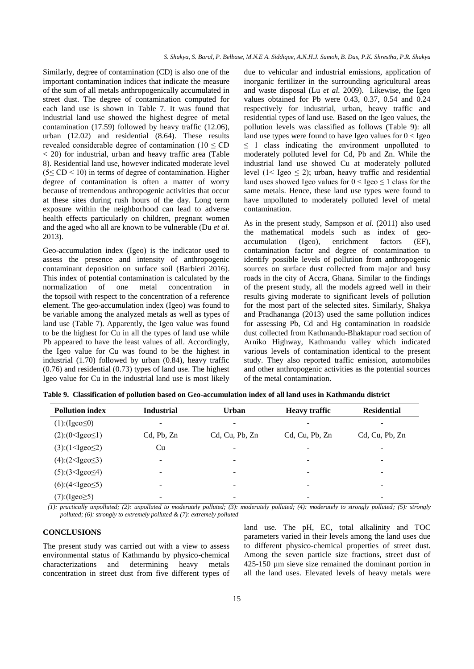Similarly, degree of contamination (CD) is also one of the important contamination indices that indicate the measure of the sum of all metals anthropogenically accumulated in street dust. The degree of contamination computed for each land use is shown in Table 7. It was found that industrial land use showed the highest degree of metal contamination (17.59) followed by heavy traffic (12.06), urban (12.02) and residential (8.64). These results revealed considerable degree of contamination ( $10 \leq CD$ ) < 20) for industrial, urban and heavy traffic area (Table 8). Residential land use, however indicated moderate level  $(5 \leq CD \leq 10)$  in terms of degree of contamination. Higher degree of contamination is often a matter of worry because of tremendous anthropogenic activities that occur at these sites during rush hours of the day. Long term exposure within the neighborhood can lead to adverse health effects particularly on children, pregnant women and the aged who all are known to be vulnerable (Du *et al.* 2013).

Geo-accumulation index (Igeo) is the indicator used to assess the presence and intensity of anthropogenic contaminant deposition on surface soil (Barbieri 2016). This index of potential contamination is calculated by the normalization of one metal concentration in the topsoil with respect to the concentration of a reference element. The geo-accumulation index (Igeo) was found to be variable among the analyzed metals as well as types of land use (Table 7). Apparently, the Igeo value was found to be the highest for Cu in all the types of land use while Pb appeared to have the least values of all. Accordingly, the Igeo value for Cu was found to be the highest in industrial (1.70) followed by urban (0.84), heavy traffic (0.76) and residential (0.73) types of land use. The highest Igeo value for Cu in the industrial land use is most likely

due to vehicular and industrial emissions, application of inorganic fertilizer in the surrounding agricultural areas and waste disposal (Lu *et al.* 2009). Likewise, the Igeo values obtained for Pb were 0.43, 0.37, 0.54 and 0.24 respectively for industrial, urban, heavy traffic and residential types of land use. Based on the Igeo values, the pollution levels was classified as follows (Table 9): all land use types were found to have Igeo values for  $0 <$  Igeo  $\leq$  1 class indicating the environment unpolluted to moderately polluted level for Cd, Pb and Zn. While the industrial land use showed Cu at moderately polluted level  $(1 <$  Igeo  $\leq$  2); urban, heavy traffic and residential land uses showed Igeo values for  $0 <$  Igeo  $\leq 1$  class for the same metals. Hence, these land use types were found to have unpolluted to moderately polluted level of metal contamination.

As in the present study, Sampson *et al.* (2011) also used the mathematical models such as index of geoaccumulation (Igeo), enrichment factors (EF), contamination factor and degree of contamination to identify possible levels of pollution from anthropogenic sources on surface dust collected from major and busy roads in the city of Accra, Ghana. Similar to the findings of the present study, all the models agreed well in their results giving moderate to significant levels of pollution for the most part of the selected sites. Similarly, Shakya and Pradhananga (2013) used the same pollution indices for assessing Pb, Cd and Hg contamination in roadside dust collected from Kathmandu-Bhaktapur road section of Arniko Highway, Kathmandu valley which indicated various levels of contamination identical to the present study. They also reported traffic emission, automobiles and other anthropogenic activities as the potential sources of the metal contamination.

| <b>Pollution index</b>   | <b>Industrial</b> | <b>Urban</b>             | <b>Heavy traffic</b> | <b>Residential</b> |
|--------------------------|-------------------|--------------------------|----------------------|--------------------|
| $(1)$ :(Igeo $\leq 0$ )  | -                 | -                        |                      |                    |
| $(2):(0<$ Igeo $\leq$ 1) | Cd, Pb, Zn        | Cd, Cu, Pb, Zn           | Cd, Cu, Pb, Zn       | Cd, Cu, Pb, Zn     |
| (3):(1<~Jgeo~2)          | Cu                | -                        |                      |                    |
| $(4):(2<~Jgeo \leq 3)$   | ۰                 | $\overline{\phantom{a}}$ | ۰                    | -                  |
| $(5):(3geo\le4)$         | -                 | $\overline{\phantom{a}}$ | -                    | -                  |
| $(6)(4 <$ Igeo $\leq 5)$ | -                 | -                        | -                    | -                  |
| $(7)$ :(Igeo $\geq 5$ )  | ۰                 | -                        |                      |                    |

**Table 9. Classification of pollution based on Geo-accumulation index of all land uses in Kathmandu district**

 *(1): practically unpolluted; (2): unpolluted to moderately polluted; (3): moderately polluted; (4): moderately to strongly polluted; (5): strongly polluted; (6): strongly to extremely polluted & (7): extremely polluted*

#### **CONCLUSIONS**

The present study was carried out with a view to assess environmental status of Kathmandu by physico-chemical characterizations and determining heavy metals concentration in street dust from five different types of land use. The pH, EC, total alkalinity and TOC parameters varied in their levels among the land uses due to different physico-chemical properties of street dust. Among the seven particle size fractions, street dust of 425-150 µm sieve size remained the dominant portion in all the land uses. Elevated levels of heavy metals were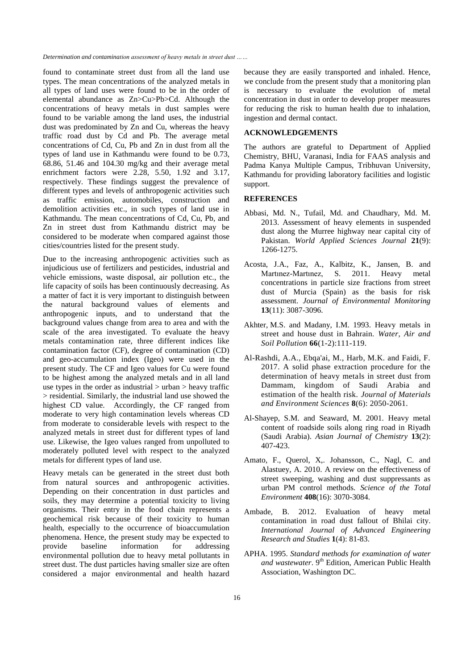found to contaminate street dust from all the land use types. The mean concentrations of the analyzed metals in all types of land uses were found to be in the order of elemental abundance as Zn>Cu>Pb>Cd. Although the concentrations of heavy metals in dust samples were found to be variable among the land uses, the industrial dust was predominated by Zn and Cu, whereas the heavy traffic road dust by Cd and Pb. The average metal concentrations of Cd, Cu, Pb and Zn in dust from all the types of land use in Kathmandu were found to be 0.73, 68.86, 51.46 and 104.30 mg/kg and their average metal enrichment factors were 2.28, 5.50, 1.92 and 3.17, respectively. These findings suggest the prevalence of different types and levels of anthropogenic activities such as traffic emission, automobiles, construction and demolition activities etc., in such types of land use in Kathmandu. The mean concentrations of Cd, Cu, Pb, and Zn in street dust from Kathmandu district may be considered to be moderate when compared against those cities/countries listed for the present study.

Due to the increasing anthropogenic activities such as injudicious use of fertilizers and pesticides, industrial and vehicle emissions, waste disposal, air pollution etc., the life capacity of soils has been continuously decreasing. As a matter of fact it is very important to distinguish between the natural background values of elements and anthropogenic inputs, and to understand that the background values change from area to area and with the scale of the area investigated. To evaluate the heavy metals contamination rate, three different indices like contamination factor (CF), degree of contamination (CD) and geo-accumulation index (Igeo) were used in the present study. The CF and Igeo values for Cu were found to be highest among the analyzed metals and in all land use types in the order as industrial  $>$  urban  $>$  heavy traffic > residential. Similarly, the industrial land use showed the highest CD value. Accordingly, the CF ranged from moderate to very high contamination levels whereas CD from moderate to considerable levels with respect to the analyzed metals in street dust for different types of land use. Likewise, the Igeo values ranged from unpolluted to moderately polluted level with respect to the analyzed metals for different types of land use.

Heavy metals can be generated in the street dust both from natural sources and anthropogenic activities. Depending on their concentration in dust particles and soils, they may determine a potential toxicity to living organisms. Their entry in the food chain represents a geochemical risk because of their toxicity to human health, especially to the occurrence of bioaccumulation phenomena. Hence, the present study may be expected to provide baseline information for addressing environmental pollution due to heavy metal pollutants in street dust. The dust particles having smaller size are often considered a major environmental and health hazard because they are easily transported and inhaled. Hence, we conclude from the present study that a monitoring plan is necessary to evaluate the evolution of metal concentration in dust in order to develop proper measures for reducing the risk to human health due to inhalation, ingestion and dermal contact.

### **ACKNOWLEDGEMENTS**

The authors are grateful to Department of Applied Chemistry, BHU, Varanasi, India for FAAS analysis and Padma Kanya Multiple Campus, Tribhuvan University, Kathmandu for providing laboratory facilities and logistic support.

# **REFERENCES**

- Abbasi, Md. N., Tufail, Md. and Chaudhary, Md. M. 2013. Assessment of heavy elements in suspended dust along the Murree highway near capital city of Pakistan. *World Applied Sciences Journal* **21**(9): 1266-1275.
- Acosta, J.A., Faz, A., Kalbitz, K., Jansen, B. and Martınez-Martınez, S. 2011. Heavy metal concentrations in particle size fractions from street dust of Murcia (Spain) as the basis for risk assessment. *Journal of Environmental Monitoring* **13**(11): 3087-3096.
- Akhter, M.S. and Madany, I.M. 1993. Heavy metals in street and house dust in Bahrain. *Water, Air and Soil Pollution* **66**(1-2):111-119.
- Al-Rashdi, A.A., Ebqa'ai, M., Harb, M.K. and Faidi, F. 2017. A solid phase extraction procedure for the determination of heavy metals in street dust from Dammam, kingdom of Saudi Arabia and estimation of the health risk. *Journal of Materials and Environment Sciences* **8**(6): 2050-2061.
- Al-Shayep, S.M. and Seaward, M. 2001. Heavy metal content of roadside soils along ring road in Riyadh (Saudi Arabia). *Asian Journal of Chemistry* **13**(2): 407-423.
- Amato, F., Querol, X,. Johansson, C., Nagl, C. and Alastuey, A. 2010. A review on the effectiveness of street sweeping, washing and dust suppressants as urban PM control methods. *Science of the Total Environment* **408**(16): 3070-3084.
- Ambade, B. 2012. Evaluation of heavy metal contamination in road dust fallout of Bhilai city. *International Journal of Advanced Engineering Research and Studies* **1**(4): 81-83.
- APHA. 1995. *Standard methods for examination of water*  and wastewater. 9<sup>th</sup> Edition, American Public Health Association, Washington DC.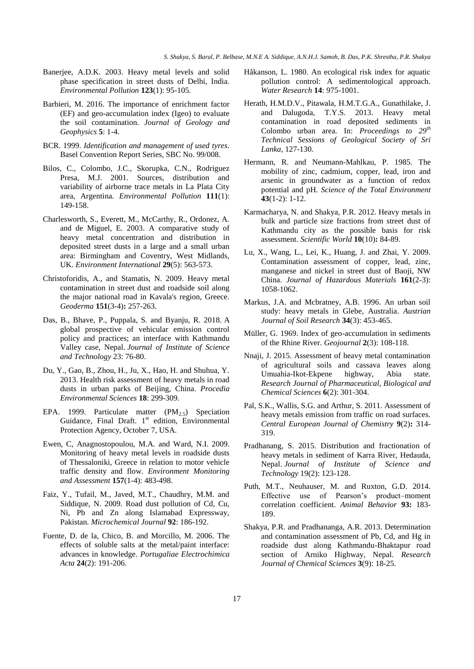- Banerjee, A.D.K. 2003. Heavy metal levels and solid phase specification in street dusts of Delhi, India. *Environmental Pollution* **123**(1): 95-105.
- Barbieri, M. 2016. The importance of enrichment factor (EF) and geo-accumulation index (Igeo) to evaluate the soil contamination. *Journal of Geology and Geophysics* **5**: 1-4.
- BCR. 1999. *Identification and management of used tyres.*  Basel Convention Report Series, SBC No. 99/008.
- Bilos, C., Colombo, J.C., Skorupka, C.N., Rodriguez Presa, M.J. 2001. Sources, distribution and variability of airborne trace metals in La Plata City area, Argentina*. Environmental Pollution* **111**(1): 149-158.
- Charlesworth, S., Everett, M., McCarthy, R., Ordonez, A. and de Miguel, E. 2003. A comparative study of heavy metal concentration and distribution in deposited street dusts in a large and a small urban area: Birmingham and Coventry, West Midlands, UK. *Environment International* **29**(5): 563-573.
- Christoforidis, A., and Stamatis, N. 2009. Heavy metal contamination in street dust and roadside soil along the major national road in Kavala's region, Greece. *Geoderma* **151**(3-4)**:** 257-263.
- Das, B., Bhave, P., Puppala, S. and Byanju, R. 2018. A global prospective of vehicular emission control policy and practices; an interface with Kathmandu Valley case, Nepal. *Journal of Institute of Science and Technology* 23: 76-80.
- Du, Y., Gao, B., Zhou, H., Ju, X., Hao, H. and Shuhua, Y. 2013. Health risk assessment of heavy metals in road dusts in urban parks of Beijing, China. *Procedia Environmental Sciences* **18**: 299-309.
- EPA. 1999. Particulate matter  $(PM_{2.5})$  Speciation Guidance, Final Draft.  $1<sup>st</sup>$  edition, Environmental Protection Agency, October 7, USA.
- Ewen, C, Anagnostopoulou, M.A. and Ward, N.I. 2009. Monitoring of heavy metal levels in roadside dusts of Thessaloniki, Greece in relation to motor vehicle traffic density and flow. *Environment Monitoring and Assessment* **157**(1-4): 483-498.
- Faiz, Y., Tufail, M., Javed, M.T., Chaudhry, M.M. and Siddique, N. 2009. Road dust pollution of Cd, Cu, Ni, Pb and Zn along Islamabad Expressway, Pakistan. *Microchemical Journal* **92**: 186-192.
- Fuente, D. de la, Chico, B. and Morcillo, M. 2006. The effects of soluble salts at the metal/paint interface: advances in knowledge. *Portugaliae Electrochimica Acta* **24**(2): 191-206.
- Håkanson, L. 1980. An ecological risk index for aquatic pollution control: A sedimentological approach. *Water Research* **14**: 975-1001.
- Herath, H.M.D.V., Pitawala, H.M.T.G.A., Gunathilake, J. and Dalugoda, T.Y.S. 2013. Heavy metal contamination in road deposited sediments in Colombo urban area. In: *Proceedings to 29th Technical Sessions of Geological Society of Sri Lanka,* 127-130.
- Hermann, R. and Neumann-Mahlkau, P. 1985. The mobility of zinc, cadmium, copper, lead, iron and arsenic in groundwater as a function of redox potential and pH*. Science of the Total Environment* **43**(1-2): 1-12.
- Karmacharya, N. and Shakya, P.R. 2012. Heavy metals in bulk and particle size fractions from street dust of Kathmandu city as the possible basis for risk assessment. *Scientific World* **10**(10)**:** 84-89.
- Lu, X., Wang, L., Lei, K., Huang, J. and Zhai, Y. 2009. Contamination assessment of copper, lead, zinc, manganese and nickel in street dust of Baoji, NW China. *Journal of Hazardous Materials* **161**(2-3): 1058-1062.
- Markus, J.A. and Mcbratney, A.B. 1996. An urban soil study: heavy metals in Glebe, Australia. *Austrian Journal of Soil Research* **34**(3): 453-465.
- Müller, G. 1969. Index of geo-accumulation in sediments of the Rhine River. *Geojournal* **2**(3): 108-118.
- Nnaji, J. 2015. Assessment of heavy metal contamination of agricultural soils and cassava leaves along Umuahia-Ikot-Ekpene highway, Abia state. *Research Journal of Pharmaceutical, Biological and Chemical Sciences* **6**(2): 301-304.
- Pal, S.K., Wallis, S.G. and Arthur, S. 2011. Assessment of heavy metals emission from traffic on road surfaces. *Central European Journal of Chemistry* **9**(2)**:** 314- 319.
- Pradhanang, S. 2015. Distribution and fractionation of heavy metals in sediment of Karra River, Hedauda, Nepal. *Journal of Institute of Science and Technology* 19(2): 123-128.
- Puth, M.T., Neuhauser, M. and Ruxton, G.D. 2014. Effective use of Pearson's product–moment correlation coefficient. *Animal Behavior* **93:** 183- 189.
- Shakya, P.R. and Pradhananga, A.R. 2013. Determination and contamination assessment of Pb, Cd, and Hg in roadside dust along Kathmandu-Bhaktapur road section of Arniko Highway, Nepal. *Research Journal of Chemical Sciences* **3**(9): 18-25.